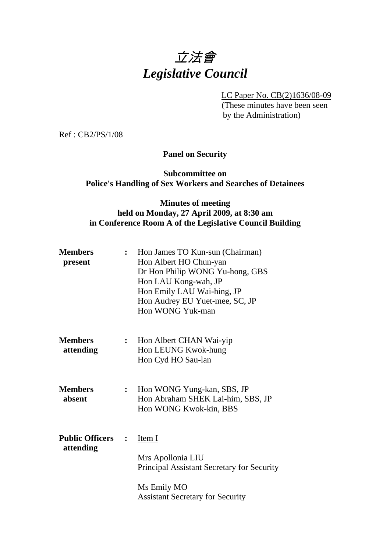

LC Paper No. CB(2)1636/08-09

 (These minutes have been seen by the Administration)

Ref : CB2/PS/1/08

**Panel on Security** 

#### **Subcommittee on Police's Handling of Sex Workers and Searches of Detainees**

## **Minutes of meeting held on Monday, 27 April 2009, at 8:30 am in Conference Room A of the Legislative Council Building**

| <b>Members</b><br>present           | $\ddot{\cdot}$ | Hon James TO Kun-sun (Chairman)<br>Hon Albert HO Chun-yan<br>Dr Hon Philip WONG Yu-hong, GBS<br>Hon LAU Kong-wah, JP<br>Hon Emily LAU Wai-hing, JP<br>Hon Audrey EU Yuet-mee, SC, JP<br>Hon WONG Yuk-man |
|-------------------------------------|----------------|----------------------------------------------------------------------------------------------------------------------------------------------------------------------------------------------------------|
| <b>Members</b><br>attending         | $\ddot{\cdot}$ | Hon Albert CHAN Wai-yip<br>Hon LEUNG Kwok-hung<br>Hon Cyd HO Sau-lan                                                                                                                                     |
| <b>Members</b><br>absent            | $\ddot{\cdot}$ | Hon WONG Yung-kan, SBS, JP<br>Hon Abraham SHEK Lai-him, SBS, JP<br>Hon WONG Kwok-kin, BBS                                                                                                                |
| <b>Public Officers</b><br>attending | $\ddot{\cdot}$ | Item I<br>Mrs Apollonia LIU<br><b>Principal Assistant Secretary for Security</b><br>Ms Emily MO<br><b>Assistant Secretary for Security</b>                                                               |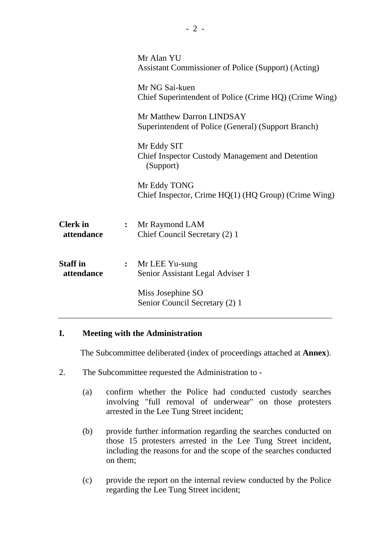|                | Mr Alan YU<br><b>Assistant Commissioner of Police (Support) (Acting)</b>            |
|----------------|-------------------------------------------------------------------------------------|
|                | Mr NG Sai-kuen<br>Chief Superintendent of Police (Crime HQ) (Crime Wing)            |
|                | Mr Matthew Darron LINDSAY<br>Superintendent of Police (General) (Support Branch)    |
|                | Mr Eddy SIT<br><b>Chief Inspector Custody Management and Detention</b><br>(Support) |
|                | Mr Eddy TONG<br>Chief Inspector, Crime HQ(1) (HQ Group) (Crime Wing)                |
| $\ddot{\cdot}$ | Mr Raymond LAM<br>Chief Council Secretary (2) 1                                     |
| $\ddot{\cdot}$ | Mr LEE Yu-sung<br>Senior Assistant Legal Adviser 1                                  |
|                | Miss Josephine SO<br>Senior Council Secretary (2) 1                                 |
|                |                                                                                     |

## **I. Meeting with the Administration**

1. The Subcommittee deliberated (index of proceedings attached at **Annex**).

- 2. The Subcommittee requested the Administration to
	- (a) confirm whether the Police had conducted custody searches involving "full removal of underwear" on those protesters arrested in the Lee Tung Street incident;
	- (b) provide further information regarding the searches conducted on those 15 protesters arrested in the Lee Tung Street incident, including the reasons for and the scope of the searches conducted on them;
	- (c) provide the report on the internal review conducted by the Police regarding the Lee Tung Street incident;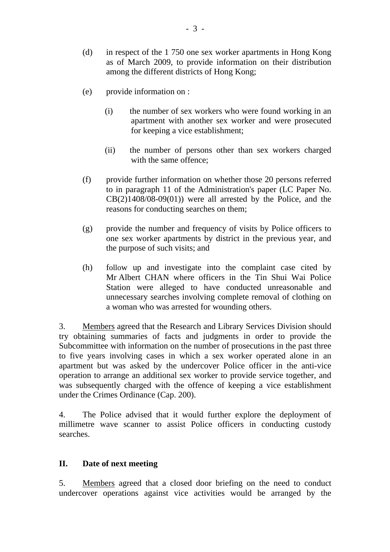- (d) in respect of the 1 750 one sex worker apartments in Hong Kong as of March 2009, to provide information on their distribution among the different districts of Hong Kong;
- (e) provide information on :
	- (i) the number of sex workers who were found working in an apartment with another sex worker and were prosecuted for keeping a vice establishment;
	- (ii) the number of persons other than sex workers charged with the same offence;
- (f) provide further information on whether those 20 persons referred to in paragraph 11 of the Administration's paper (LC Paper No.  $CB(2)1408/08-09(01)$  were all arrested by the Police, and the reasons for conducting searches on them;
- (g) provide the number and frequency of visits by Police officers to one sex worker apartments by district in the previous year, and the purpose of such visits; and
- (h) follow up and investigate into the complaint case cited by Mr Albert CHAN where officers in the Tin Shui Wai Police Station were alleged to have conducted unreasonable and unnecessary searches involving complete removal of clothing on a woman who was arrested for wounding others.

3. Members agreed that the Research and Library Services Division should try obtaining summaries of facts and judgments in order to provide the Subcommittee with information on the number of prosecutions in the past three to five years involving cases in which a sex worker operated alone in an apartment but was asked by the undercover Police officer in the anti-vice operation to arrange an additional sex worker to provide service together, and was subsequently charged with the offence of keeping a vice establishment under the Crimes Ordinance (Cap. 200).

4. The Police advised that it would further explore the deployment of millimetre wave scanner to assist Police officers in conducting custody searches.

#### **II. Date of next meeting**

5. Members agreed that a closed door briefing on the need to conduct undercover operations against vice activities would be arranged by the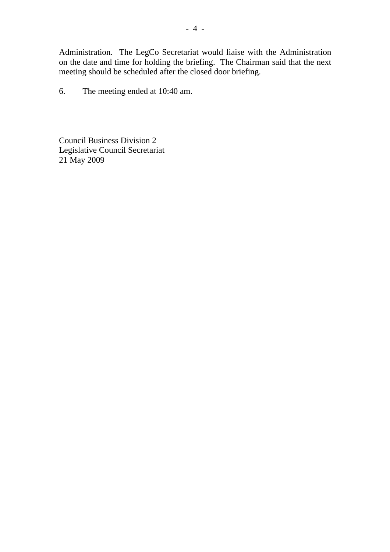Administration. The LegCo Secretariat would liaise with the Administration on the date and time for holding the briefing. The Chairman said that the next meeting should be scheduled after the closed door briefing.

6. The meeting ended at 10:40 am.

Council Business Division 2 Legislative Council Secretariat 21 May 2009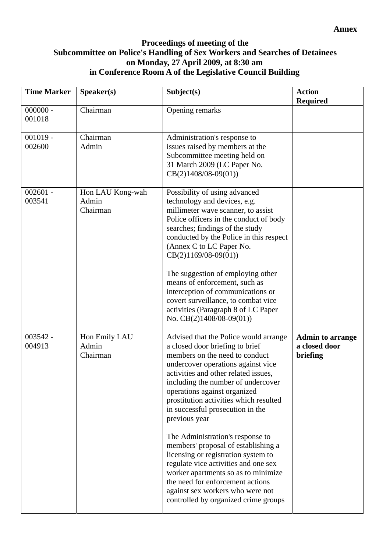# **Proceedings of meeting of the Subcommittee on Police's Handling of Sex Workers and Searches of Detainees on Monday, 27 April 2009, at 8:30 am in Conference Room A of the Legislative Council Building**

| <b>Time Marker</b>   | Speaker(s)                            | Subject(s)                                                                                                                                                                                                                                                                                                                                                                                                                                                                                                                                                                                                                                                                     | <b>Action</b><br><b>Required</b>                     |
|----------------------|---------------------------------------|--------------------------------------------------------------------------------------------------------------------------------------------------------------------------------------------------------------------------------------------------------------------------------------------------------------------------------------------------------------------------------------------------------------------------------------------------------------------------------------------------------------------------------------------------------------------------------------------------------------------------------------------------------------------------------|------------------------------------------------------|
| $000000 -$<br>001018 | Chairman                              | Opening remarks                                                                                                                                                                                                                                                                                                                                                                                                                                                                                                                                                                                                                                                                |                                                      |
| $001019 -$<br>002600 | Chairman<br>Admin                     | Administration's response to<br>issues raised by members at the<br>Subcommittee meeting held on<br>31 March 2009 (LC Paper No.<br>$CB(2)1408/08-09(01))$                                                                                                                                                                                                                                                                                                                                                                                                                                                                                                                       |                                                      |
| $002601 -$<br>003541 | Hon LAU Kong-wah<br>Admin<br>Chairman | Possibility of using advanced<br>technology and devices, e.g.<br>millimeter wave scanner, to assist<br>Police officers in the conduct of body<br>searches; findings of the study<br>conducted by the Police in this respect<br>(Annex C to LC Paper No.<br>$CB(2)1169/08-09(01))$<br>The suggestion of employing other<br>means of enforcement, such as<br>interception of communications or<br>covert surveillance, to combat vice<br>activities (Paragraph 8 of LC Paper<br>No. $CB(2)1408/08-09(01)$                                                                                                                                                                        |                                                      |
| $003542 -$<br>004913 | Hon Emily LAU<br>Admin<br>Chairman    | Advised that the Police would arrange<br>a closed door briefing to brief<br>members on the need to conduct<br>undercover operations against vice<br>activities and other related issues,<br>including the number of undercover<br>operations against organized<br>prostitution activities which resulted<br>in successful prosecution in the<br>previous year<br>The Administration's response to<br>members' proposal of establishing a<br>licensing or registration system to<br>regulate vice activities and one sex<br>worker apartments so as to minimize<br>the need for enforcement actions<br>against sex workers who were not<br>controlled by organized crime groups | <b>Admin to arrange</b><br>a closed door<br>briefing |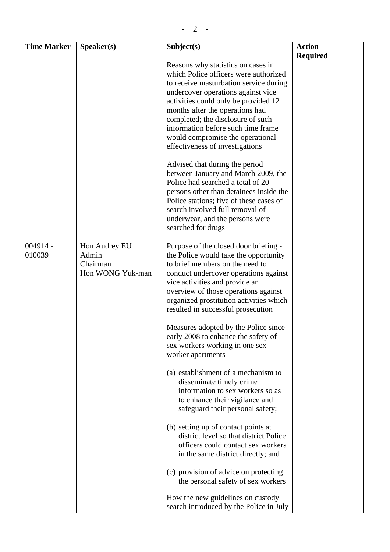| <b>Time Marker</b>   | Speaker(s)                                             | Subject(s)                                                                                                                                                                                                                                                                                                                                                                                                                                                                                                                                                                                                                                                                                                                                                                                                                                                                                                                                                             | <b>Action</b>   |
|----------------------|--------------------------------------------------------|------------------------------------------------------------------------------------------------------------------------------------------------------------------------------------------------------------------------------------------------------------------------------------------------------------------------------------------------------------------------------------------------------------------------------------------------------------------------------------------------------------------------------------------------------------------------------------------------------------------------------------------------------------------------------------------------------------------------------------------------------------------------------------------------------------------------------------------------------------------------------------------------------------------------------------------------------------------------|-----------------|
|                      |                                                        | Reasons why statistics on cases in<br>which Police officers were authorized<br>to receive masturbation service during<br>undercover operations against vice<br>activities could only be provided 12<br>months after the operations had<br>completed; the disclosure of such<br>information before such time frame<br>would compromise the operational<br>effectiveness of investigations<br>Advised that during the period<br>between January and March 2009, the<br>Police had searched a total of 20<br>persons other than detainees inside the<br>Police stations; five of these cases of<br>search involved full removal of<br>underwear, and the persons were<br>searched for drugs                                                                                                                                                                                                                                                                               | <b>Required</b> |
| $004914 -$<br>010039 | Hon Audrey EU<br>Admin<br>Chairman<br>Hon WONG Yuk-man | Purpose of the closed door briefing -<br>the Police would take the opportunity<br>to brief members on the need to<br>conduct undercover operations against<br>vice activities and provide an<br>overview of those operations against<br>organized prostitution activities which<br>resulted in successful prosecution<br>Measures adopted by the Police since<br>early 2008 to enhance the safety of<br>sex workers working in one sex<br>worker apartments -<br>(a) establishment of a mechanism to<br>disseminate timely crime<br>information to sex workers so as<br>to enhance their vigilance and<br>safeguard their personal safety;<br>(b) setting up of contact points at<br>district level so that district Police<br>officers could contact sex workers<br>in the same district directly; and<br>(c) provision of advice on protecting<br>the personal safety of sex workers<br>How the new guidelines on custody<br>search introduced by the Police in July |                 |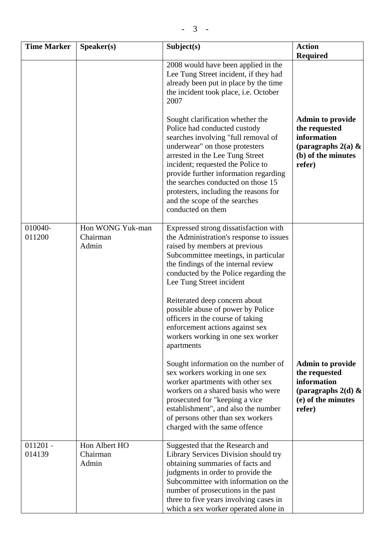| <b>Time Marker</b>   | Speaker(s)                            | Subject(s)                                                                                                                                                                                                                                                                                                                                                                                      | <b>Action</b>                                                                                                   |
|----------------------|---------------------------------------|-------------------------------------------------------------------------------------------------------------------------------------------------------------------------------------------------------------------------------------------------------------------------------------------------------------------------------------------------------------------------------------------------|-----------------------------------------------------------------------------------------------------------------|
|                      |                                       |                                                                                                                                                                                                                                                                                                                                                                                                 | <b>Required</b>                                                                                                 |
|                      |                                       | 2008 would have been applied in the<br>Lee Tung Street incident, if they had<br>already been put in place by the time<br>the incident took place, i.e. October<br>2007                                                                                                                                                                                                                          |                                                                                                                 |
|                      |                                       | Sought clarification whether the<br>Police had conducted custody<br>searches involving "full removal of<br>underwear" on those protesters<br>arrested in the Lee Tung Street<br>incident; requested the Police to<br>provide further information regarding<br>the searches conducted on those 15<br>protesters, including the reasons for<br>and the scope of the searches<br>conducted on them | <b>Admin to provide</b><br>the requested<br>information<br>(paragraphs $2(a)$ &<br>(b) of the minutes<br>refer) |
| 010040-<br>011200    | Hon WONG Yuk-man<br>Chairman<br>Admin | Expressed strong dissatisfaction with<br>the Administration's response to issues<br>raised by members at previous<br>Subcommittee meetings, in particular<br>the findings of the internal review<br>conducted by the Police regarding the<br>Lee Tung Street incident                                                                                                                           |                                                                                                                 |
|                      |                                       | Reiterated deep concern about<br>possible abuse of power by Police<br>officers in the course of taking<br>enforcement actions against sex<br>workers working in one sex worker<br>apartments                                                                                                                                                                                                    |                                                                                                                 |
|                      |                                       | Sought information on the number of<br>sex workers working in one sex<br>worker apartments with other sex<br>workers on a shared basis who were<br>prosecuted for "keeping a vice"<br>establishment", and also the number<br>of persons other than sex workers<br>charged with the same offence                                                                                                 | <b>Admin to provide</b><br>the requested<br>information<br>(paragraphs $2(d)$ &<br>(e) of the minutes<br>refer) |
| $011201 -$<br>014139 | Hon Albert HO<br>Chairman<br>Admin    | Suggested that the Research and<br>Library Services Division should try<br>obtaining summaries of facts and<br>judgments in order to provide the<br>Subcommittee with information on the<br>number of prosecutions in the past<br>three to five years involving cases in<br>which a sex worker operated alone in                                                                                |                                                                                                                 |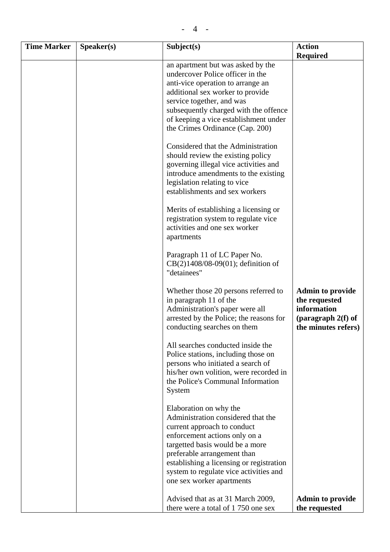| <b>Time Marker</b> | Speaker(s) | Subject(s)                                                                                                                                                                                                                                                                                                        | <b>Action</b>                                                                                          |
|--------------------|------------|-------------------------------------------------------------------------------------------------------------------------------------------------------------------------------------------------------------------------------------------------------------------------------------------------------------------|--------------------------------------------------------------------------------------------------------|
|                    |            |                                                                                                                                                                                                                                                                                                                   | <b>Required</b>                                                                                        |
|                    |            | an apartment but was asked by the<br>undercover Police officer in the<br>anti-vice operation to arrange an<br>additional sex worker to provide<br>service together, and was<br>subsequently charged with the offence<br>of keeping a vice establishment under<br>the Crimes Ordinance (Cap. 200)                  |                                                                                                        |
|                    |            | Considered that the Administration<br>should review the existing policy<br>governing illegal vice activities and<br>introduce amendments to the existing<br>legislation relating to vice<br>establishments and sex workers                                                                                        |                                                                                                        |
|                    |            | Merits of establishing a licensing or<br>registration system to regulate vice<br>activities and one sex worker<br>apartments                                                                                                                                                                                      |                                                                                                        |
|                    |            | Paragraph 11 of LC Paper No.<br>$CB(2)1408/08-09(01)$ ; definition of<br>"detainees"                                                                                                                                                                                                                              |                                                                                                        |
|                    |            | Whether those 20 persons referred to<br>in paragraph 11 of the<br>Administration's paper were all<br>arrested by the Police; the reasons for<br>conducting searches on them                                                                                                                                       | <b>Admin to provide</b><br>the requested<br>information<br>(paragraph $2(f)$ of<br>the minutes refers) |
|                    |            | All searches conducted inside the<br>Police stations, including those on<br>persons who initiated a search of<br>his/her own volition, were recorded in<br>the Police's Communal Information<br>System                                                                                                            |                                                                                                        |
|                    |            | Elaboration on why the<br>Administration considered that the<br>current approach to conduct<br>enforcement actions only on a<br>targetted basis would be a more<br>preferable arrangement than<br>establishing a licensing or registration<br>system to regulate vice activities and<br>one sex worker apartments |                                                                                                        |
|                    |            | Advised that as at 31 March 2009,<br>there were a total of 1750 one sex                                                                                                                                                                                                                                           | <b>Admin to provide</b><br>the requested                                                               |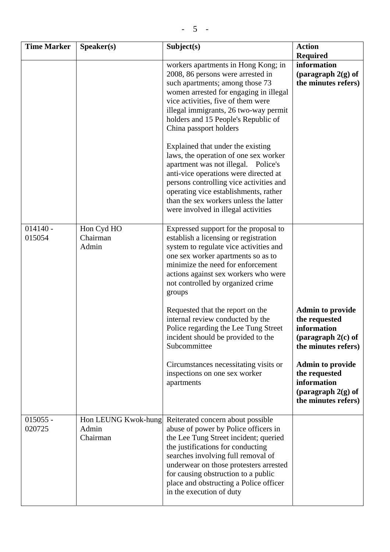|  | -<br>- |  |
|--|--------|--|
|--|--------|--|

| <b>Time Marker</b>   | Speaker(s)                               | Subject(s)                                                                                                                                                                                                                                                                                                                                                                                                                 | <b>Action</b><br><b>Required</b>                                                                       |
|----------------------|------------------------------------------|----------------------------------------------------------------------------------------------------------------------------------------------------------------------------------------------------------------------------------------------------------------------------------------------------------------------------------------------------------------------------------------------------------------------------|--------------------------------------------------------------------------------------------------------|
|                      |                                          | workers apartments in Hong Kong; in<br>2008, 86 persons were arrested in<br>such apartments; among those 73<br>women arrested for engaging in illegal<br>vice activities, five of them were<br>illegal immigrants, 26 two-way permit<br>holders and 15 People's Republic of<br>China passport holders<br>Explained that under the existing<br>laws, the operation of one sex worker<br>apartment was not illegal. Police's | information<br>(paragraph $2(g)$ of<br>the minutes refers)                                             |
|                      |                                          | anti-vice operations were directed at<br>persons controlling vice activities and<br>operating vice establishments, rather<br>than the sex workers unless the latter<br>were involved in illegal activities                                                                                                                                                                                                                 |                                                                                                        |
| $014140 -$<br>015054 | Hon Cyd HO<br>Chairman<br>Admin          | Expressed support for the proposal to<br>establish a licensing or registration<br>system to regulate vice activities and<br>one sex worker apartments so as to<br>minimize the need for enforcement<br>actions against sex workers who were<br>not controlled by organized crime<br>groups                                                                                                                                 |                                                                                                        |
|                      |                                          | Requested that the report on the<br>internal review conducted by the<br>Police regarding the Lee Tung Street<br>incident should be provided to the<br>Subcommittee                                                                                                                                                                                                                                                         | <b>Admin to provide</b><br>the requested<br>information<br>(paragraph $2(c)$ of<br>the minutes refers) |
|                      |                                          | Circumstances necessitating visits or<br>inspections on one sex worker<br>apartments                                                                                                                                                                                                                                                                                                                                       | <b>Admin to provide</b><br>the requested<br>information<br>(paragraph $2(g)$ of<br>the minutes refers) |
| $015055 -$<br>020725 | Hon LEUNG Kwok-hung<br>Admin<br>Chairman | Reiterated concern about possible<br>abuse of power by Police officers in<br>the Lee Tung Street incident; queried<br>the justifications for conducting<br>searches involving full removal of<br>underwear on those protesters arrested<br>for causing obstruction to a public<br>place and obstructing a Police officer<br>in the execution of duty                                                                       |                                                                                                        |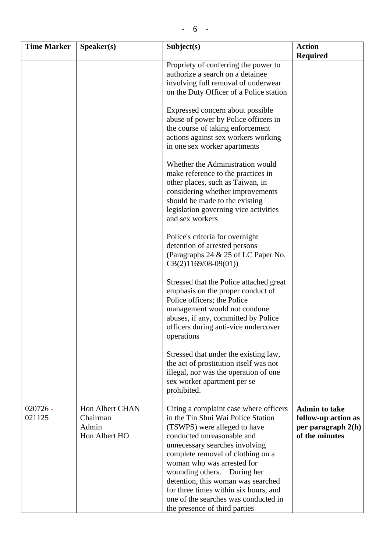| <b>Time Marker</b>   | S <sub>p</sub> e <sub>aker(s)</sub>                          | Subject(s)                                                                                                                                                                                                                                                                                                                                                                                                                             | <b>Action</b>                                                                         |
|----------------------|--------------------------------------------------------------|----------------------------------------------------------------------------------------------------------------------------------------------------------------------------------------------------------------------------------------------------------------------------------------------------------------------------------------------------------------------------------------------------------------------------------------|---------------------------------------------------------------------------------------|
|                      |                                                              |                                                                                                                                                                                                                                                                                                                                                                                                                                        | <b>Required</b>                                                                       |
|                      |                                                              | Propriety of conferring the power to<br>authorize a search on a detainee<br>involving full removal of underwear<br>on the Duty Officer of a Police station                                                                                                                                                                                                                                                                             |                                                                                       |
|                      |                                                              | Expressed concern about possible<br>abuse of power by Police officers in<br>the course of taking enforcement<br>actions against sex workers working<br>in one sex worker apartments                                                                                                                                                                                                                                                    |                                                                                       |
|                      |                                                              | Whether the Administration would<br>make reference to the practices in<br>other places, such as Taiwan, in<br>considering whether improvements<br>should be made to the existing<br>legislation governing vice activities<br>and sex workers                                                                                                                                                                                           |                                                                                       |
|                      |                                                              | Police's criteria for overnight<br>detention of arrested persons<br>(Paragraphs 24 & 25 of LC Paper No.<br>$CB(2)1169/08-09(01))$                                                                                                                                                                                                                                                                                                      |                                                                                       |
|                      |                                                              | Stressed that the Police attached great<br>emphasis on the proper conduct of<br>Police officers; the Police<br>management would not condone<br>abuses, if any, committed by Police<br>officers during anti-vice undercover<br>operations                                                                                                                                                                                               |                                                                                       |
|                      |                                                              | Stressed that under the existing law,<br>the act of prostitution itself was not<br>illegal, nor was the operation of one<br>sex worker apartment per se<br>prohibited.                                                                                                                                                                                                                                                                 |                                                                                       |
| $020726 -$<br>021125 | <b>Hon Albert CHAN</b><br>Chairman<br>Admin<br>Hon Albert HO | Citing a complaint case where officers<br>in the Tin Shui Wai Police Station<br>(TSWPS) were alleged to have<br>conducted unreasonable and<br>unnecessary searches involving<br>complete removal of clothing on a<br>woman who was arrested for<br>wounding others. During her<br>detention, this woman was searched<br>for three times within six hours, and<br>one of the searches was conducted in<br>the presence of third parties | <b>Admin to take</b><br>follow-up action as<br>per paragraph $2(h)$<br>of the minutes |